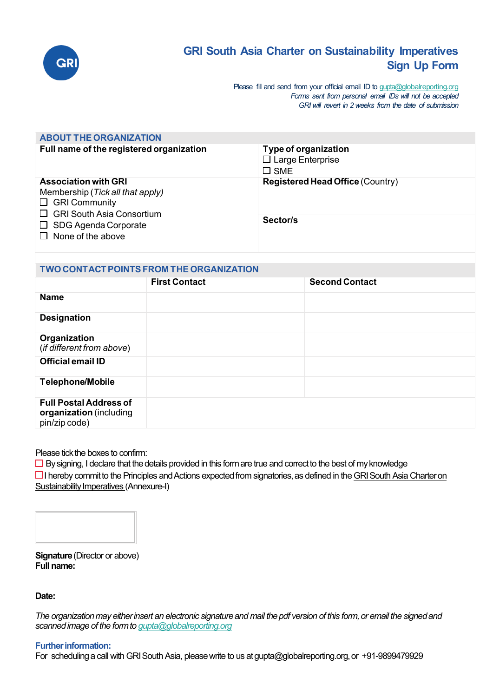

# **GRI South Asia Charter on Sustainability Imperatives Sign Up Form**

Please fill and send from your official email ID t[o gupta@globalreporting.org](mailto:gupta@globalreporting.org) *Forms sent from personal email IDs will not be accepted GRI will revert in 2 weeks from the date of submission*

| <b>ABOUT THE ORGANIZATION</b>                                                                                                                                                          |                                                                  |  |  |
|----------------------------------------------------------------------------------------------------------------------------------------------------------------------------------------|------------------------------------------------------------------|--|--|
| Full name of the registered organization                                                                                                                                               | Type of organization<br>$\Box$ Large Enterprise<br>$\square$ SME |  |  |
| <b>Association with GRI</b><br>Membership (Tick all that apply)<br>$\Box$ GRI Community<br>$\Box$ GRI South Asia Consortium<br>$\Box$ SDG Agenda Corporate<br>$\Box$ None of the above | <b>Registered Head Office (Country)</b>                          |  |  |
|                                                                                                                                                                                        | Sector/s                                                         |  |  |

| TWO CONTACT POINTS FROM THE ORGANIZATION                                  |                      |                       |
|---------------------------------------------------------------------------|----------------------|-----------------------|
|                                                                           | <b>First Contact</b> | <b>Second Contact</b> |
| <b>Name</b>                                                               |                      |                       |
| <b>Designation</b>                                                        |                      |                       |
| Organization<br>(if different from above)                                 |                      |                       |
| <b>Official email ID</b>                                                  |                      |                       |
| <b>Telephone/Mobile</b>                                                   |                      |                       |
| <b>Full Postal Address of</b><br>organization (including<br>pin/zip code) |                      |                       |

Please tick the boxes to confirm:

 $\Box$  By signing, I declare that the details provided in this form are true and correct to the best of my knowledge

☐I hereby commit to the Principles andActions expected from signatories, as defined in the [GRI South Asia Charter on](https://www.globalreporting.org/media/uaodc4uf/gri-sasia-charter-final-17-sep-docx.pdf)  [Sustainability Imperatives](https://www.globalreporting.org/media/uaodc4uf/gri-sasia-charter-final-17-sep-docx.pdf) (Annexure-I)



**Signature** (Director or above) **Full name:**

**Date:**

*The organizationmay eitherinsert an electronic signature and mail the pdf version of this form, or email the signedand scanned image of the formto [gupta@globalreporting.org](mailto:gupta@globalreporting.org)*

# **Further information:**

For scheduling a call with GRI South Asia, please write to us at gupta@globalreporting.org, or +91-9899479929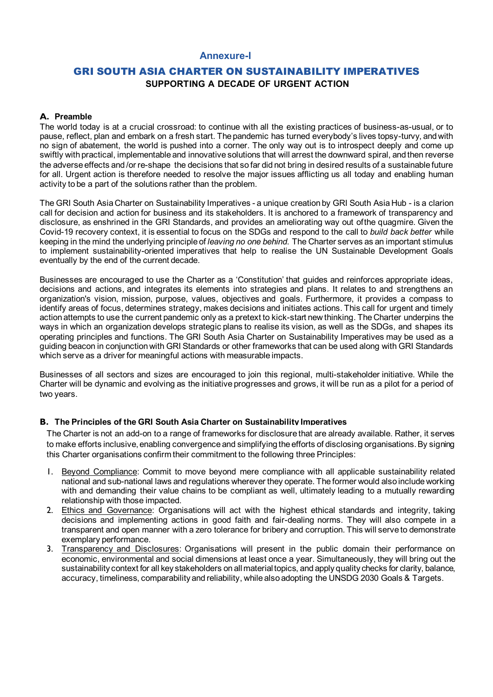#### **Annexure-I**

# GRI SOUTH ASIA CHARTER ON SUSTAINABILITY IMPERATIVES **SUPPORTING A DECADE OF URGENT ACTION**

#### **A. Preamble**

The world today is at a crucial crossroad: to continue with all the existing practices of business-as-usual, or to pause, reflect, plan and embark on a fresh start. The pandemic has turned everybody's lives topsy-turvy, and with no sign of abatement, the world is pushed into a corner. The only way out is to introspect deeply and come up swiftly with practical, implementable and innovative solutions that will arrest the downward spiral, and then reverse the adverse effects and /or re-shape the decisions that so far did not bring in desired results of a sustainable future for all. Urgent action is therefore needed to resolve the major issues afflicting us all today and enabling human activity to be a part of the solutions rather than the problem.

The GRI South Asia Charter on Sustainability Imperatives - a unique creation by GRI South Asia Hub - is a clarion call for decision and action for business and its stakeholders. It is anchored to a framework of transparency and disclosure, as enshrined in the GRI Standards, and provides an ameliorating way out ofthe quagmire. Given the Covid-19 recovery context, it is essential to focus on the SDGs and respond to the call to *build back better* while keeping in the mind the underlying principle of *leaving no one behind*. The Charter serves as an important stimulus to implement sustainability-oriented imperatives that help to realise the UN Sustainable Development Goals eventually by the end of the current decade.

Businesses are encouraged to use the Charter as a 'Constitution' that guides and reinforces appropriate ideas, decisions and actions, and integrates its elements into strategies and plans. It relates to and strengthens an organization's vision, mission, purpose, values, objectives and goals. Furthermore, it provides a compass to identify areas of focus, determines strategy, makes decisions and initiates actions. This call for urgent and timely action attempts to use the current pandemic only as a pretext to kick-start new thinking. The Charter underpins the ways in which an organization develops strategic plans to realise its vision, as well as the SDGs, and shapes its operating principles and functions. The GRI South Asia Charter on Sustainability Imperatives may be used as a guiding beacon in conjunction with GRI Standards or other frameworks that can be used along with GRI Standards which serve as a driver for meaningful actions with measurable impacts.

Businesses of all sectors and sizes are encouraged to join this regional, multi-stakeholder initiative. While the Charter will be dynamic and evolving as the initiative progresses and grows, it will be run as a pilot for a period of two years.

#### **B. The Principles of the GRI South Asia Charter on Sustainability Imperatives**

The Charter is not an add-on to a range of frameworks for disclosure that are already available. Rather, it serves to make efforts inclusive, enabling convergence and simplifying the efforts of disclosing organisations. By signing this Charter organisations confirm their commitment to the following three Principles:

- 1. Beyond Compliance: Commit to move beyond mere compliance with all applicable sustainability related national and sub-national laws and regulations wherever they operate. The former would also include working with and demanding their value chains to be compliant as well, ultimately leading to a mutually rewarding relationship with those impacted.
- 2. Ethics and Governance: Organisations will act with the highest ethical standards and integrity, taking decisions and implementing actions in good faith and fair-dealing norms. They will also compete in a transparent and open manner with a zero tolerance for bribery and corruption. This will serve to demonstrate exemplary performance.
- 3. Transparency and Disclosures: Organisations will present in the public domain their performance on economic, environmental and social dimensions at least once a year. Simultaneously, they will bring out the sustainability context for all key stakeholders on all material topics, and apply quality checks for clarity, balance, accuracy, timeliness, comparability and reliability, while also adopting the UNSDG 2030 Goals & Targets.